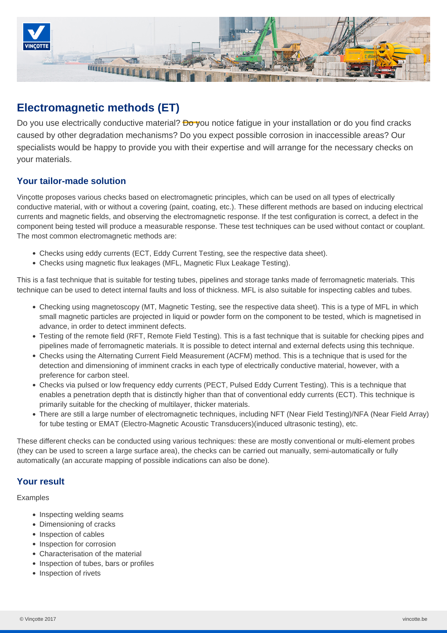

# **Electromagnetic methods (ET)**

Do you use electrically conductive material? **Do y**ou notice fatigue in your installation or do you find cracks caused by other degradation mechanisms? Do you expect possible corrosion in inaccessible areas? Our specialists would be happy to provide you with their expertise and will arrange for the necessary checks on your materials.

## **Your tailor-made solution**

Vinçotte proposes various checks based on electromagnetic principles, which can be used on all types of electrically conductive material, with or without a covering (paint, coating, etc.). These different methods are based on inducing electrical currents and magnetic fields, and observing the electromagnetic response. If the test configuration is correct, a defect in the component being tested will produce a measurable response. These test techniques can be used without contact or couplant. The most common electromagnetic methods are:

- Checks using eddy currents (ECT, Eddy Current Testing, see the respective data sheet).
- Checks using magnetic flux leakages (MFL, Magnetic Flux Leakage Testing).

This is a fast technique that is suitable for testing tubes, pipelines and storage tanks made of ferromagnetic materials. This technique can be used to detect internal faults and loss of thickness. MFL is also suitable for inspecting cables and tubes.

- Checking using magnetoscopy (MT, Magnetic Testing, see the respective data sheet). This is a type of MFL in which small magnetic particles are projected in liquid or powder form on the component to be tested, which is magnetised in advance, in order to detect imminent defects.
- Testing of the remote field (RFT, Remote Field Testing). This is a fast technique that is suitable for checking pipes and pipelines made of ferromagnetic materials. It is possible to detect internal and external defects using this technique.
- Checks using the Alternating Current Field Measurement (ACFM) method. This is a technique that is used for the detection and dimensioning of imminent cracks in each type of electrically conductive material, however, with a preference for carbon steel.
- Checks via pulsed or low frequency eddy currents (PECT, Pulsed Eddy Current Testing). This is a technique that enables a penetration depth that is distinctly higher than that of conventional eddy currents (ECT). This technique is primarily suitable for the checking of multilayer, thicker materials.
- There are still a large number of electromagnetic techniques, including NFT (Near Field Testing)/NFA (Near Field Array) for tube testing or EMAT (Electro-Magnetic Acoustic Transducers)(induced ultrasonic testing), etc.

These different checks can be conducted using various techniques: these are mostly conventional or multi-element probes (they can be used to screen a large surface area), the checks can be carried out manually, semi-automatically or fully automatically (an accurate mapping of possible indications can also be done).

## **Your result**

Examples

- Inspecting welding seams
- Dimensioning of cracks
- Inspection of cables
- Inspection for corrosion
- Characterisation of the material
- Inspection of tubes, bars or profiles
- Inspection of rivets